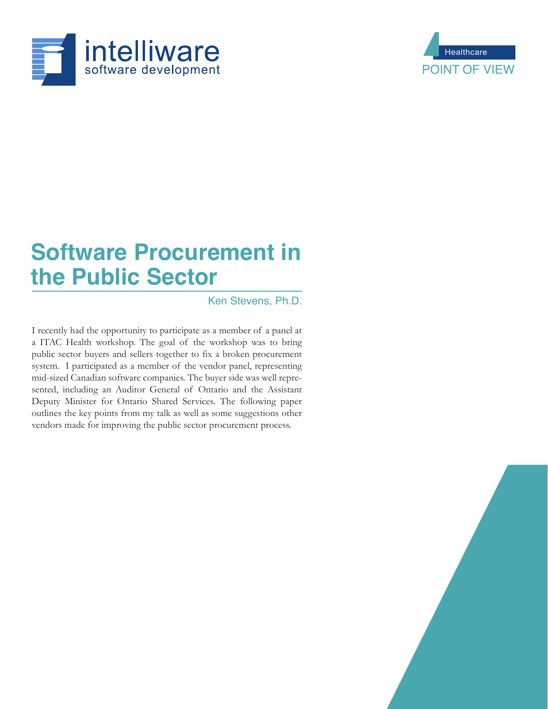



# **Software Procurement in the Public Sector**

Ken Stevens, Ph.D.

I recently had the opportunity to participate as a member of a panel at a ITAC Health workshop. The goal of the workshop was to bring public sector buyers and sellers together to fix a broken procurement system. I participated as a member of the vendor panel, representing mid-sized Canadian software companies. The buyer side was well represented, including an Auditor General of Ontario and the Assistant Deputy Minister for Ontario Shared Services. The following paper outlines the key points from my talk as well as some suggestions other vendors made for improving the public sector procurement process.

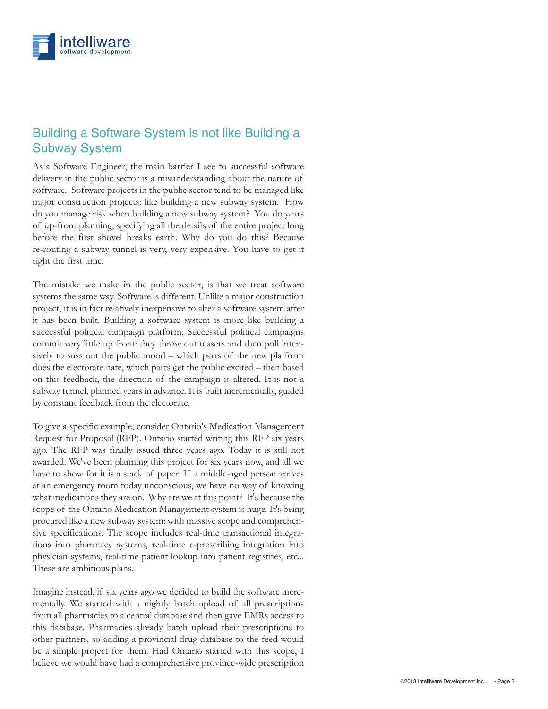

#### Building a Software System is not like Building a Subway System

As a Software Engineer, the main barrier I see to successful software delivery in the public sector is a misunderstanding about the nature of software. Software projects in the public sector tend to be managed like major construction projects: like building a new subway system. How do you manage risk when building a new subway system? You do years of up-front planning, specifying all the details of the entire project long before the first shovel breaks earth. Why do you do this? Because re-routing a subway tunnel is very, very expensive. You have to get it right the first time.

The mistake we make in the public sector, is that we treat software systems the same way. Software is different. Unlike a major construction project, it is in fact relatively inexpensive to alter a software system after it has been built. Building a software system is more like building a successful political campaign platform. Successful political campaigns commit very little up front: they throw out teasers and then poll intensively to suss out the public mood – which parts of the new platform does the electorate hate, which parts get the public excited – then based on this feedback, the direction of the campaign is altered. It is not a subway tunnel, planned years in advance. It is built incrementally, guided by constant feedback from the electorate.

To give a specific example, consider Ontario's Medication Management Request for Proposal (RFP). Ontario started writing this RFP six years ago. The RFP was finally issued three years ago. Today it is still not awarded. We've been planning this project for six years now, and all we have to show for it is a stack of paper. If a middle-aged person arrives at an emergency room today unconscious, we have no way of knowing what medications they are on. Why are we at this point? It's because the scope of the Ontario Medication Management system is huge. It's being procured like a new subway system: with massive scope and comprehensive specifications. The scope includes real-time transactional integrations into pharmacy systems, real-time e-prescribing integration into physician systems, real-time patient lookup into patient registries, etc... These are ambitious plans.

Imagine instead, if six years ago we decided to build the software incrementally. We started with a nightly batch upload of all prescriptions from all pharmacies to a central database and then gave EMRs access to this database. Pharmacies already batch upload their prescriptions to other partners, so adding a provincial drug database to the feed would be a simple project for them. Had Ontario started with this scope, I believe we would have had a comprehensive province-wide prescription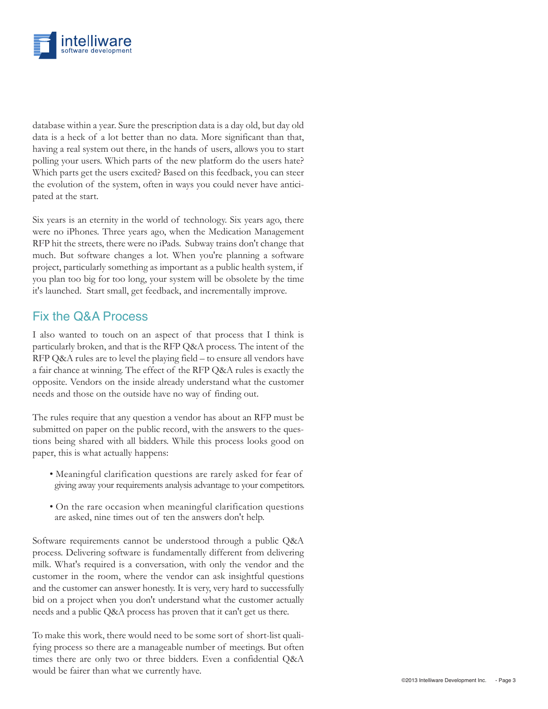

database within a year. Sure the prescription data is a day old, but day old data is a heck of a lot better than no data. More significant than that, having a real system out there, in the hands of users, allows you to start polling your users. Which parts of the new platform do the users hate? Which parts get the users excited? Based on this feedback, you can steer the evolution of the system, often in ways you could never have anticipated at the start.

Six years is an eternity in the world of technology. Six years ago, there were no iPhones. Three years ago, when the Medication Management RFP hit the streets, there were no iPads. Subway trains don't change that much. But software changes a lot. When you're planning a software project, particularly something as important as a public health system, if you plan too big for too long, your system will be obsolete by the time it's launched. Start small, get feedback, and incrementally improve.

#### Fix the Q&A Process

I also wanted to touch on an aspect of that process that I think is particularly broken, and that is the RFP Q&A process. The intent of the RFP Q&A rules are to level the playing field – to ensure all vendors have a fair chance at winning. The effect of the RFP Q&A rules is exactly the opposite. Vendors on the inside already understand what the customer needs and those on the outside have no way of finding out.

The rules require that any question a vendor has about an RFP must be submitted on paper on the public record, with the answers to the questions being shared with all bidders. While this process looks good on paper, this is what actually happens:

- Meaningful clarification questions are rarely asked for fear of giving away your requirements analysis advantage to your competitors.
- On the rare occasion when meaningful clarification questions are asked, nine times out of ten the answers don't help.

Software requirements cannot be understood through a public Q&A process. Delivering software is fundamentally different from delivering milk. What's required is a conversation, with only the vendor and the customer in the room, where the vendor can ask insightful questions and the customer can answer honestly. It is very, very hard to successfully bid on a project when you don't understand what the customer actually needs and a public Q&A process has proven that it can't get us there.

To make this work, there would need to be some sort of short-list qualifying process so there are a manageable number of meetings. But often times there are only two or three bidders. Even a confidential Q&A would be fairer than what we currently have.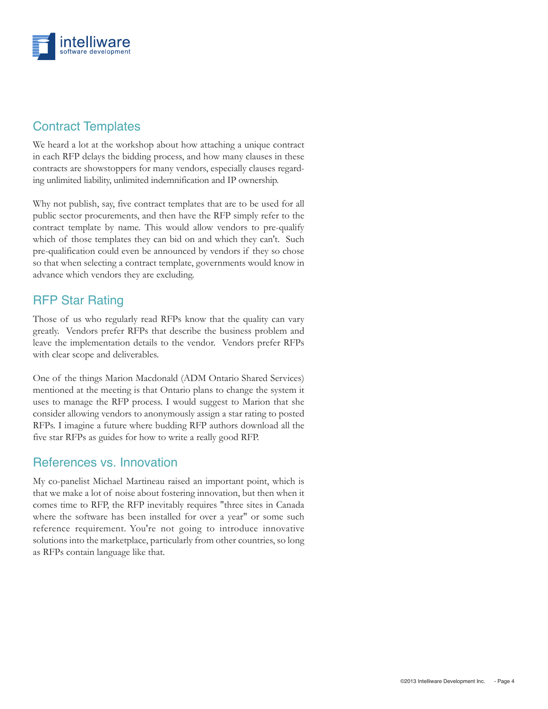

### Contract Templates

We heard a lot at the workshop about how attaching a unique contract in each RFP delays the bidding process, and how many clauses in these contracts are showstoppers for many vendors, especially clauses regarding unlimited liability, unlimited indemnification and IP ownership.

Why not publish, say, five contract templates that are to be used for all public sector procurements, and then have the RFP simply refer to the contract template by name. This would allow vendors to pre-qualify which of those templates they can bid on and which they can't. Such pre-qualification could even be announced by vendors if they so chose so that when selecting a contract template, governments would know in advance which vendors they are excluding.

#### RFP Star Rating

Those of us who regularly read RFPs know that the quality can vary greatly. Vendors prefer RFPs that describe the business problem and leave the implementation details to the vendor. Vendors prefer RFPs with clear scope and deliverables.

One of the things Marion Macdonald (ADM Ontario Shared Services) mentioned at the meeting is that Ontario plans to change the system it uses to manage the RFP process. I would suggest to Marion that she consider allowing vendors to anonymously assign a star rating to posted RFPs. I imagine a future where budding RFP authors download all the five star RFPs as guides for how to write a really good RFP.

#### References vs. Innovation

My co-panelist Michael Martineau raised an important point, which is that we make a lot of noise about fostering innovation, but then when it comes time to RFP, the RFP inevitably requires "three sites in Canada where the software has been installed for over a year" or some such reference requirement. You're not going to introduce innovative solutions into the marketplace, particularly from other countries, so long as RFPs contain language like that.